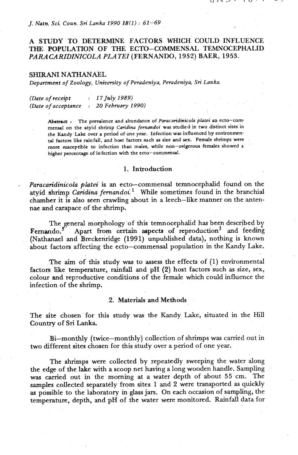#### *J. Natn. Sci. Coun. Sri Lanka 1990* **18(1)** : *61-69*

# A STUDY. TO DETERMINE FACTORS WHICH' COULD INFLUENCE THE POPULATION OF THE ECTO-COMMENSAL TEMNOCEPHALID *PARACARIDINICOLA* PLA *TEI* (FERNANDO, 1952) BAER, 1953.

#### **SHIRAM** NATHANAEL

*Department of Zoology, University of Peradeniya, Peradeniya, Sn' Lanka.* 

| (Date of receipt     | : $17$ July 1989)   |
|----------------------|---------------------|
| (Date of acceptance) | : 20 February 1990) |

Abstract: The prevalence and abundance of *Paracaridinicola platei* an ecto-commensal on the atyid shrimp *Caridina fernandoi* was studied in two distinct sites in the Kandy Lake over a period of one year. Infection was influenced by environmen**tnl factoa like rainfall, and host factors such as size and ax. Female shrimps were**  more susceptible to infection than males, while non-ovigerous females showed a higher percentage of infection with the ecto-commensal.

### 1. Introduction

- *Paracaridinicola platei* is *an* ecto-commensal ternnocephalid found on the atyid shrimp *Caridina fernandoi.*<sup>1</sup> While sometimes found in the branchial chamber it is also seen crawling about in a leech-like manner on the antennae and carapace of the shrimp.

The general morphology of this temnocephalid has been described by Fernando.<sup>5</sup> Apart from certain aspects of reproduction<sup>3</sup> and feeding (Nathanael **and** Breckenridge (1991) unpublished data), nothing is known about factors affecting the ecto-commensal population in the Kandy Lake.

The aim of this study **was** to assess the effects of (1) environmental factors like temperature, rainfall and pH (2) host factors such as size, sex, colour and reproductive conditions of the female which could influence the infection of the shrimp.

#### **2:** Materials and Methods

The site chosen for this study was the Kandy Lake, situated in the Hill Country of Sri Lanka.

Bi-monthly (twice-monthly) collection of shrimps was carried out in two different sites chosen for this study over a period of one year.

The shrimps were collected by repeatedly sweeping the water along the edge of the lake with a scoop net having a long wooden handle. Sampling **was** carried out in the morning at a water depth of about 55 cm. The samples collected separately from sites 1 and 2 were transported as quickly as possible to the laboratory in glass **jars.** On each occasion of sampling, the temperature, depth, and pH of the water were monitored. Rainfall data for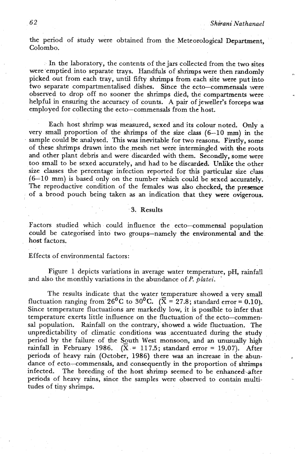the period of study were obtained from the Meteorological Department, Colombo.

In the laboratory, the contents of the jars collected from the two sites were'emptied into separate trays. Handfuls of shrimps were then randomly picked out from each tray, until fifty shrimps from each site were put into two separate compartmentalised dishes. Since the ecto-commensals **\.yere**  observed to drop off no sooner the shrimps died, the compartments were helpful in ensuring the accuracy of counts. A pair of jeweller's forceps was employed for collecting the ecto-commensals from the host.

Each host shrimp was measured, sexed and its colour noted. Only a very small proportion of the shrimps of the size class **(6-10** mm) in the sample could be analysed. This **was** inevitable for two reasons. Firstly, some of these shrimps drawn into the mesh net were intermingled with the roots and other plant debris and were discarded with them. Secondly, some were too small to be sexed accurately, and had to be discarded. Unlike the other size classes the percentage infection reported for **this** particular size class **(6-10** mm) is based only on the number which could be sexed accurately. The reproductive condition of the females was also checked, the presence of a brood pouch being taken **as** an indication that they were ovigerous.

### **,3.,** Results

Factors studied which could influence the ecto-commensal population could be categorised into two groups-namely the environmental **and** the host factors.

Effects of environmental factors:

Figure 1 depicts variations in average water temperature, pH, rainfall and also the monthly variations in the abundance of P. *platei.* -

The results indicate that the water temperature showed a very small fluctuation ranging from 26<sup>o</sup>C to 30<sup>o</sup>C. ( $\bar{X} = 27.8$ ; standard error = 0.10). Since temperature fluctuations are markedly low, it is possfile to infer that temperature exerts little influence on the fluctuation of the ecto-commensal population. Rainfall on the contrary, showed a wide fluctuation. The unpredictability of climatic conditions **was** accentuated during the study period by the failure of the South West monsoon, and an unusually high rainfall in February 1986. ( $\bar{X} = 117.5$ ; standard error = 19.07). After periods of heavy rain (October, **1986)** there was **an** increase in the **abun**dance of ecto-commensals, and consequently in the proportion of shrimps infected. The breeding of the host shrimp seemed to be enhanced after periods of heavy rains, since the samples were observed to contain multitudes of tiny shrimps.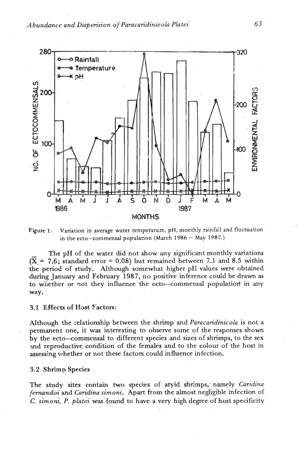

**Figure 1:** Variation in average water temperature, pH, monthly rainfall and fluctuation in the ecto-commensal population (March 1986 - **May** 1987.)

The pH of the water did not show any significant monthly variations  $(\overline{X})$  = 7.6; standard error = 0.08) but remained between 7.1 and 8.5 within the period of study. Although somewhat higher **pH** values were obtained during January and February 1987, no positive inference could be drawn as to whether or not they influence the ecto-commensal population in any way.

### 3.1 Effects of **Host** Factors:

Although the relationship between the shrimp and *Paracaridinicola* is not a permanent one, it was interesting to observe some of the responses shown by the ecto-commensal to different species and sizes of shrimps, to the sex and reproductive condition of the females and to the colour of the host in assessing whether or not these factors could influence infection.

#### 3.2 Shrimp Species .

The study sites contain two species of atyid shrimps,' namely *Caridina fernandoi* and *Cam'dina simoni.* Apart from *the* almost negligible infection of **C.** *simoni* P. *platei* was 'found to have a very high degree of host specificity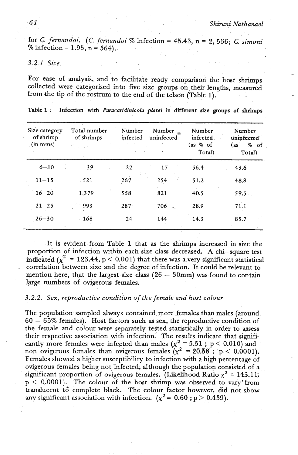\*

for C. *fernandoi.* (C. *fernandoi* % infection = 45.43, n = 2,536; **C.** *simoni*  % infection =  $1.95$ , n =  $564$ ).

## *3.2.1 Size*

For ease of analysis, and to facilitate ready comparison the host shrimps collected were categorised into five size groups on their lengths, measured from the tip of the rostrum to the end of the telson (Table 1). **.** 

|  | Table 1: Infection with Paracaridinicola platei in different size groups of shrimps |  |  |  |  |
|--|-------------------------------------------------------------------------------------|--|--|--|--|

| Size category<br>of shrimp<br>(in mms) | Total number<br>of shrimps | Number<br>infected | Number<br>uninfected | Number<br>infected<br>$(as % of \overline{S})$<br>Total) | Number<br>uninfected<br>$\begin{matrix} \text{as} & \text{%} & \text{of} \end{matrix}$<br>Total) |
|----------------------------------------|----------------------------|--------------------|----------------------|----------------------------------------------------------|--------------------------------------------------------------------------------------------------|
| $6 - 10$                               | 39                         | $-22$              | 17                   | 56.4                                                     | 43.6                                                                                             |
| $11 - 15$                              | 521                        | 267                | 254                  | 51.2                                                     | 48.8                                                                                             |
| $16 - 20$                              | 1,379                      | 558                | 821                  | 40.5                                                     | 59.5                                                                                             |
| $21 - 25$                              | 993                        | $287 -$            | 706                  | 28.9                                                     | 71.1                                                                                             |
| $26 - 30$                              | $-168$                     | 24                 | 144                  | 14.3                                                     | 85.7                                                                                             |

It is evident from Table 1 that as the shrimps increased in size the proportion of infection within each size class decreased. A chi-square test indicated  $(x^2 = 123.44, p < 0.001)$  that there was a very significant statistical correlation between size and the degree of infection. It could be relevant to mention here, that the largest size class  $(26 - 30$ mm) was found to contain large numbers of ovigerous females.

# 3.2.2. Sex, reproductive condition of the female and host colour

The population sampled always contained more females than males (around <sup>60</sup>- 65% females). Host factors such **as sex,** the reproductive condition of the female and colour were separately tested statistically in order to assess their respective association with infection. The results indicate that significantly more females were infected than males  $(x^2 = 5.51$ ;  $p < 0.010$ ) and non ovigerous females than ovigerous females  $(\chi^2 = 20.58)$ ; p < 0.0001). Females showed a higher susceptibility to infection with a high percentage of ovigerous females being not infected, although the population consisted of a significant proportion of ovigerous females. (Likelihood Ratio  $\chi^2 = 145.11$ ;  $p < 0.0001$ ). The colour of the host shrimp was observed to vary'from translucent td complete black. The colour factor however, did not show any significant association with infection. ( $\chi^2$  = 0.60; p > 0.439).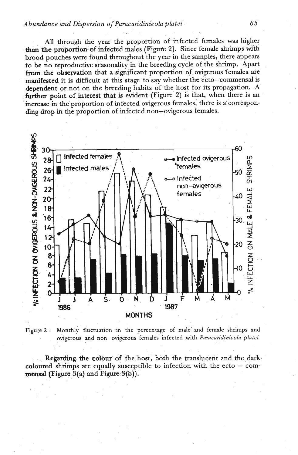### *Abundance and Dispersion of Paracaridinieola platei* **65**

All through **the year** the proportion of infected females was higher **than the proportion** of infected males (Figure 2). Since female shrimps with brood pouches were found throughout the year in the samples, there appears to be no reproductive seasonality in the breeding cycle of the shrimp. Apart from the observation that a significant proportion of ovigerous females are manifested it is difficult at this stage to say whether the ecto--commensal is **dependent** or not on the breeding habits of the host for its propagation. A further point of interest that is evident (Figure 2) is that, when there is an increase in the proportion of infected ovigerous females, there is a corresponding drop in the proportion of infected non-ovigerous females.



Monthly fluctuation in the percentage of male and female shrimps and Figure 2: ovigerous and non-ovigerous females infected with Paracaridinicola platei.

**Regarding the colour of the host, both the translucent and the dark** coloured shrimps are equally susceptible to infection with the ecto  $-$  com**mensal** (Figure  $3(a)$  and Figure  $3(b)$ ).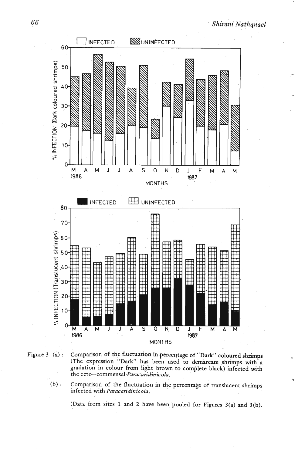



Figure 3 (a) : Comparison of the fluctuation in percentage of "Dark" coloured shrimps (The expression "Dark" has been used to demarcate shrimps with a gradation in colour from light brown to complete black) infected with the ecto-commensal *Paracaridinicola.* 

(b) : Comparison of the fluctuation in the percentage of translucent shrirhps infected with *Paracaridinicola.* 

(Data from sites 1 and 2 have been\* pooled for Figures **3(a)** and **3(b).**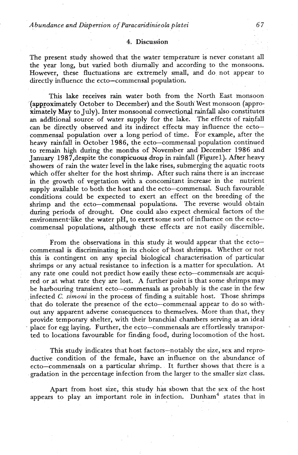### 4. Discussion

The present study showed that the water temperature is never constant all the year long, but varied both diurnally and according to the monsoons. However, these fluctuations are extremely small, and do not appear to directly influence the ecto-commensal population.

This lake receives **rain** water both from the North East monsoon '(appyoximately October to December) and the South' West monsoon (approximately May to July). Inter monsoonal convectional rainfall also constitutes an additional source of water supply for the lake. The effects of rainfall can be directly observed and its indirect effects may influence the ectocommensal population over a long period of time. For example, after the heavy rainfall in October 1986, the ecto-commensal population continued to remain high during the months of November and December 1986 and January 1987,despite the conspicuous drop in rainfall (Figurel). After heavy showers of rain the water level in the lake rises, submerging the aquatic roots which offer shelter for the host shrimp. After such rains there is an increase in the growth of vegetation with a concomitant increase in the nutrient supply available to both the host and the ecto-commensal. Such favourable conditions could be expected to exert an effect on the breeding of the shrimp and the ecto-commensal populations. The reverse would obtain during periods of drought. One could also expect chemical factors of the environment like the water pH, to exert some sort of influence on the ectocommensal populations, although these effects are not easily discernible.

From the observations in this study it would appear that the ectocommensal is discriminating in its choice of'host shrimps. Whether or not this is contingent on any special biological characterisation of particular shrimps or any actual resistance to infection is a matter for speculation. At any rate one could not predict how easily these ecto-commensals are acquired or at what rate they are lost. A further point is that some shrimps may be harbouring transient ecto-commensals as probably is the case in the few infected *C. simoni* in the process of finding a suitable host. Those shrimps that do tolerate the presence of the ecto-commensal appear to do so without any apparent adverse consequences to themselves. .More than that, they provide temporary shelter, with their branchial chambers serving as an ideal place for egg laying. Further, the ecto-commensals are effortlessly transported to locations favourable for finding food, during locomotion of the host.

This study indicates that host factors-notably the size, sex and reproductive condition of the female, have an influence on the abundance of ecto-commensals on a particular shrimp. It further shows that there is a gradation in the percentage infection from the larger to the smaller size class.

Apart from host size, this study h'as sbown that the sex of the host appears to play an important role in infection. Dunham<sup>4</sup> states that in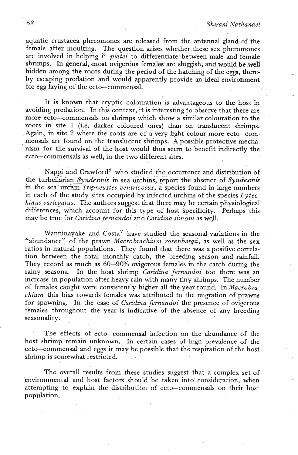aquatic crustacea pheromones are released from the antennal gland of the female after moulting. The question arises whether these sex pheromones are involved in helping P. platei to differentiate between male and female shrimps. In general, most ovigerous females are sluggish, and would be well<br>hidden among the roots during the period of the hatching of the eggs, there-<br>by escaping predation and would apparently provide an ideal environme for egg laying of the ecto-commensal.

It is known that cryptic colouration is advantageous to the host in avoiding predation. In this context, it is interesting to observe that there are more ecto-commensals on shrimps which show a similar colouration to the roots in site 1 (i.e. darker coloured ones) than on translucent shrimps. Again, in site 2 where the roots are of a very light colour more ecto-commensals are found on the translucent shrimps. A possible protective mechanism for the survival of the host would thus seem to benefit indirectly the ecto-commensals as well, in the two different sites.

Nappi and Crawford<sup>6</sup> who studied the occurrence and distribution of the turbellarian *Syndesmis* in sea urchins, report the absence of *Syndesmis* in the sea urchin Tripneustes ventricosus, a species found in large numbers in each of the study sites occupied by infected urchins of the species  $L\nu tec$ hinus variegatus. The authors suggest that there may be certain physiological differences, which account for this type of host specificity. Perhaps this may be true for *Caridina fernandoi* and *Caridina simoni* as well.

Wanninayake and  $Costa^7$  have studied the seasonal variations in the "abundance" of the prawn Macrobrachium rosenbergii, as well as the sex ratios in natural populations. They found that there was a positive correlation between the total monthly catch, the breeding season and rainfall. They record as much as  $60-90\%$  ovigerous females in the catch during the rainy seasons. In the host shrimp Caridina fernandoi too there was an increase in population after heavy rain with many tiny shrimps. The number of females caught were consistently higher all the year round. In Macrobrachium this bias towards females was attributed to the migration of prawns for spawning. In the case of Caridina fernandoi the presence of ovigerous females throughout the year is indicative of the absence of any breeding seasonality.

The effects of ecto-commensal infection on the abundance of the host shrimp remain unknown. In certain cases of high prevalence of the ecto-commensal and eggs it may be possible that the respiration of the host shrimp is somewhat restricted.

The overall results from these studies suggest that a complex set of environmental and host factors should be taken into' consideration, when attempting to explain the distribution of ecto-commensals on their host population.